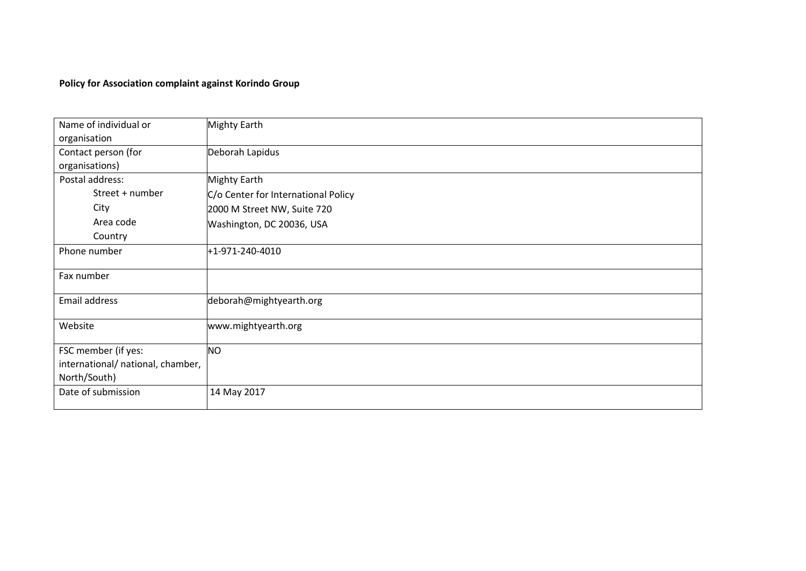# **Policy for Association complaint against Korindo Group**

| Name of individual or<br>organisation | <b>Mighty Earth</b>                 |
|---------------------------------------|-------------------------------------|
| Contact person (for<br>organisations) | Deborah Lapidus                     |
| Postal address:                       | <b>Mighty Earth</b>                 |
| Street + number                       | C/o Center for International Policy |
| City                                  | 2000 M Street NW, Suite 720         |
| Area code                             | Washington, DC 20036, USA           |
| Country                               |                                     |
| Phone number                          | +1-971-240-4010                     |
| Fax number                            |                                     |
| Email address                         | deborah@mightyearth.org             |
| Website                               | www.mightyearth.org                 |
| FSC member (if yes:                   | <b>NO</b>                           |
| international/ national, chamber,     |                                     |
| North/South)                          |                                     |
| Date of submission                    | 14 May 2017                         |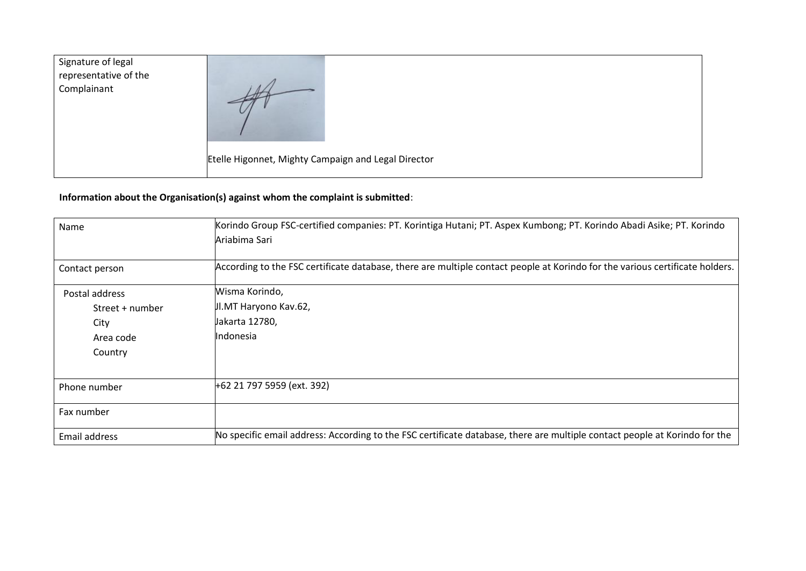| Signature of legal<br>representative of the<br>Complainant |                                                     |
|------------------------------------------------------------|-----------------------------------------------------|
|                                                            | Etelle Higonnet, Mighty Campaign and Legal Director |

# **Information about the Organisation(s) against whom the complaint is submitted**:

| Name            | Korindo Group FSC-certified companies: PT. Korintiga Hutani; PT. Aspex Kumbong; PT. Korindo Abadi Asike; PT. Korindo<br>Ariabima Sari |
|-----------------|---------------------------------------------------------------------------------------------------------------------------------------|
| Contact person  | According to the FSC certificate database, there are multiple contact people at Korindo for the various certificate holders.          |
| Postal address  | Wisma Korindo,                                                                                                                        |
| Street + number | Jl.MT Haryono Kav.62,                                                                                                                 |
| City            | Jakarta 12780,                                                                                                                        |
| Area code       | Indonesia                                                                                                                             |
| Country         |                                                                                                                                       |
|                 |                                                                                                                                       |
| Phone number    | +62 21 797 5959 (ext. 392)                                                                                                            |
| Fax number      |                                                                                                                                       |
| Email address   | No specific email address: According to the FSC certificate database, there are multiple contact people at Korindo for the            |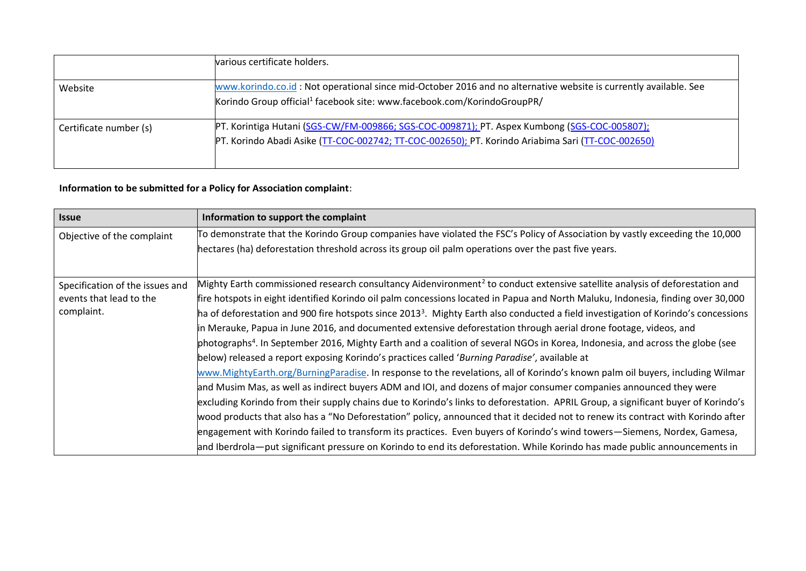|                        | various certificate holders.                                                                                                                                                                            |
|------------------------|---------------------------------------------------------------------------------------------------------------------------------------------------------------------------------------------------------|
| Website                | www.korindo.co.id: Not operational since mid-October 2016 and no alternative website is currently available. See<br>Korindo Group official <sup>1</sup> facebook site: www.facebook.com/KorindoGroupPR/ |
| Certificate number (s) | PT. Korintiga Hutani (SGS-CW/FM-009866; SGS-COC-009871); PT. Aspex Kumbong (SGS-COC-005807);<br>PT. Korindo Abadi Asike (TT-COC-002742; TT-COC-002650); PT. Korindo Ariabima Sari (TT-COC-002650)       |

# **Information to be submitted for a Policy for Association complaint**:

| <b>Issue</b>                    | Information to support the complaint                                                                                                           |
|---------------------------------|------------------------------------------------------------------------------------------------------------------------------------------------|
| Objective of the complaint      | To demonstrate that the Korindo Group companies have violated the FSC's Policy of Association by vastly exceeding the 10,000                   |
|                                 | hectares (ha) deforestation threshold across its group oil palm operations over the past five years.                                           |
|                                 |                                                                                                                                                |
| Specification of the issues and | Mighty Earth commissioned research consultancy Aidenvironment <sup>2</sup> to conduct extensive satellite analysis of deforestation and        |
| events that lead to the         | fire hotspots in eight identified Korindo oil palm concessions located in Papua and North Maluku, Indonesia, finding over 30,000               |
| complaint.                      | ha of deforestation and 900 fire hotspots since 2013 <sup>3</sup> . Mighty Earth also conducted a field investigation of Korindo's concessions |
|                                 | in Merauke, Papua in June 2016, and documented extensive deforestation through aerial drone footage, videos, and                               |
|                                 | photographs <sup>4</sup> . In September 2016, Mighty Earth and a coalition of several NGOs in Korea, Indonesia, and across the globe (see      |
|                                 | below) released a report exposing Korindo's practices called 'Burning Paradise', available at                                                  |
|                                 | www.MightyEarth.org/BurningParadise. In response to the revelations, all of Korindo's known palm oil buyers, including Wilmar                  |
|                                 | and Musim Mas, as well as indirect buyers ADM and IOI, and dozens of major consumer companies announced they were                              |
|                                 | excluding Korindo from their supply chains due to Korindo's links to deforestation. APRIL Group, a significant buyer of Korindo's              |
|                                 | wood products that also has a "No Deforestation" policy, announced that it decided not to renew its contract with Korindo after                |
|                                 | engagement with Korindo failed to transform its practices. Even buyers of Korindo's wind towers–Siemens, Nordex, Gamesa,                       |
|                                 | and Iberdrola—put significant pressure on Korindo to end its deforestation. While Korindo has made public announcements in                     |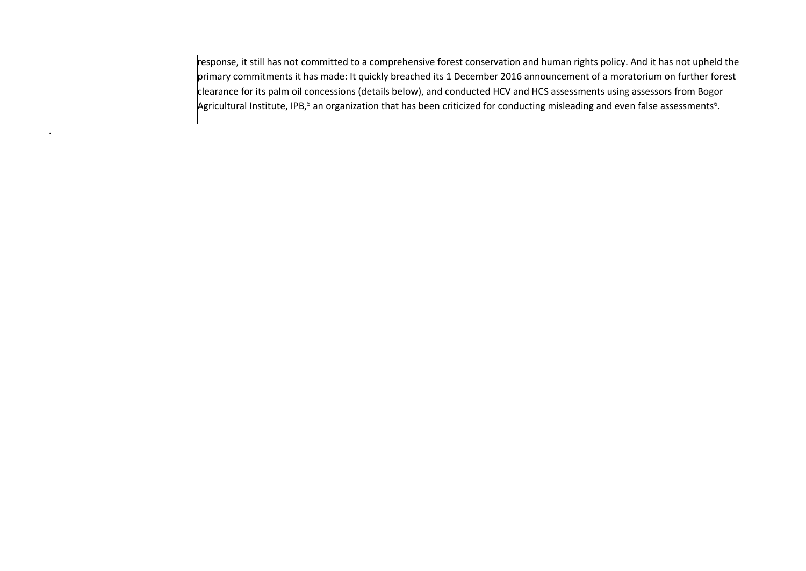| response, it still has not committed to a comprehensive forest conservation and human rights policy. And it has not upheld the                         |
|--------------------------------------------------------------------------------------------------------------------------------------------------------|
| primary commitments it has made: It quickly breached its 1 December 2016 announcement of a moratorium on further forest                                |
| clearance for its palm oil concessions (details below), and conducted HCV and HCS assessments using assessors from Bogor                               |
| Agricultural Institute, IPB, <sup>5</sup> an organization that has been criticized for conducting misleading and even false assessments <sup>6</sup> . |
|                                                                                                                                                        |

.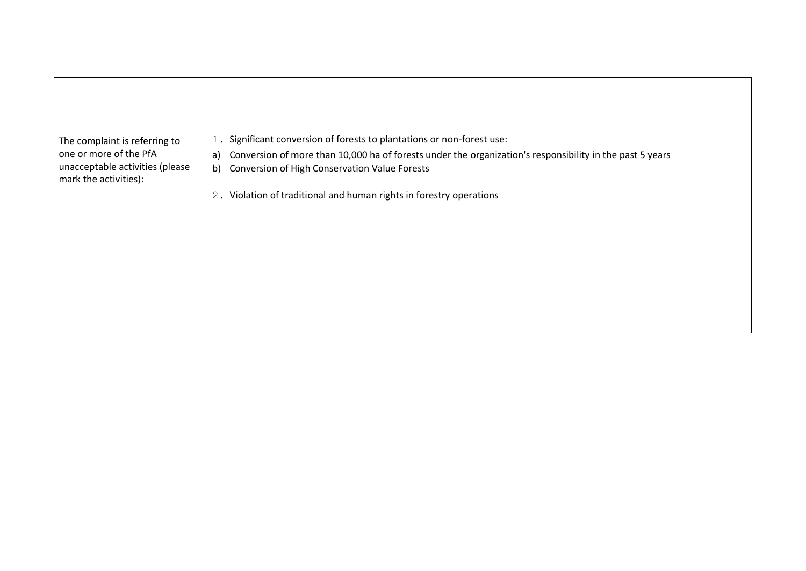| The complaint is referring to                            | 1. Significant conversion of forests to plantations or non-forest use:                                         |
|----------------------------------------------------------|----------------------------------------------------------------------------------------------------------------|
| one or more of the PfA                                   | Conversion of more than 10,000 ha of forests under the organization's responsibility in the past 5 years<br>a) |
| unacceptable activities (please<br>mark the activities): | Conversion of High Conservation Value Forests<br>b)                                                            |
|                                                          | 2. Violation of traditional and human rights in forestry operations                                            |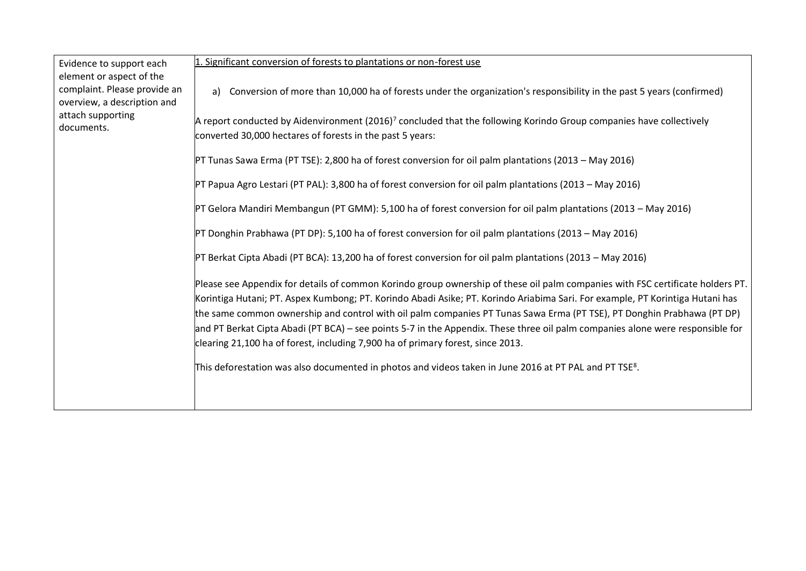| Evidence to support each<br>element or aspect of the<br>complaint. Please provide an<br>overview, a description and | 1. Significant conversion of forests to plantations or non-forest use                                                                                                                                                                                                                                                                                                                                                                                                                                                                                                                                          |
|---------------------------------------------------------------------------------------------------------------------|----------------------------------------------------------------------------------------------------------------------------------------------------------------------------------------------------------------------------------------------------------------------------------------------------------------------------------------------------------------------------------------------------------------------------------------------------------------------------------------------------------------------------------------------------------------------------------------------------------------|
|                                                                                                                     | Conversion of more than 10,000 ha of forests under the organization's responsibility in the past 5 years (confirmed)<br>a)                                                                                                                                                                                                                                                                                                                                                                                                                                                                                     |
| attach supporting<br>documents.                                                                                     | A report conducted by Aidenvironment (2016) <sup>7</sup> concluded that the following Korindo Group companies have collectively<br>converted 30,000 hectares of forests in the past 5 years:                                                                                                                                                                                                                                                                                                                                                                                                                   |
|                                                                                                                     | PT Tunas Sawa Erma (PT TSE): 2,800 ha of forest conversion for oil palm plantations (2013 – May 2016)                                                                                                                                                                                                                                                                                                                                                                                                                                                                                                          |
|                                                                                                                     | PT Papua Agro Lestari (PT PAL): 3,800 ha of forest conversion for oil palm plantations (2013 – May 2016)                                                                                                                                                                                                                                                                                                                                                                                                                                                                                                       |
|                                                                                                                     | PT Gelora Mandiri Membangun (PT GMM): 5,100 ha of forest conversion for oil palm plantations (2013 – May 2016)                                                                                                                                                                                                                                                                                                                                                                                                                                                                                                 |
|                                                                                                                     | PT Donghin Prabhawa (PT DP): 5,100 ha of forest conversion for oil palm plantations (2013 – May 2016)                                                                                                                                                                                                                                                                                                                                                                                                                                                                                                          |
|                                                                                                                     | PT Berkat Cipta Abadi (PT BCA): 13,200 ha of forest conversion for oil palm plantations (2013 – May 2016)                                                                                                                                                                                                                                                                                                                                                                                                                                                                                                      |
|                                                                                                                     | Please see Appendix for details of common Korindo group ownership of these oil palm companies with FSC certificate holders PT.<br>Korintiga Hutani; PT. Aspex Kumbong; PT. Korindo Abadi Asike; PT. Korindo Ariabima Sari. For example, PT Korintiga Hutani has<br>the same common ownership and control with oil palm companies PT Tunas Sawa Erma (PT TSE), PT Donghin Prabhawa (PT DP)<br>and PT Berkat Cipta Abadi (PT BCA) – see points 5-7 in the Appendix. These three oil palm companies alone were responsible for<br>clearing 21,100 ha of forest, including 7,900 ha of primary forest, since 2013. |
|                                                                                                                     | This deforestation was also documented in photos and videos taken in June 2016 at PT PAL and PT TSE <sup>8</sup> .                                                                                                                                                                                                                                                                                                                                                                                                                                                                                             |
|                                                                                                                     |                                                                                                                                                                                                                                                                                                                                                                                                                                                                                                                                                                                                                |

 $\overline{\phantom{0}}$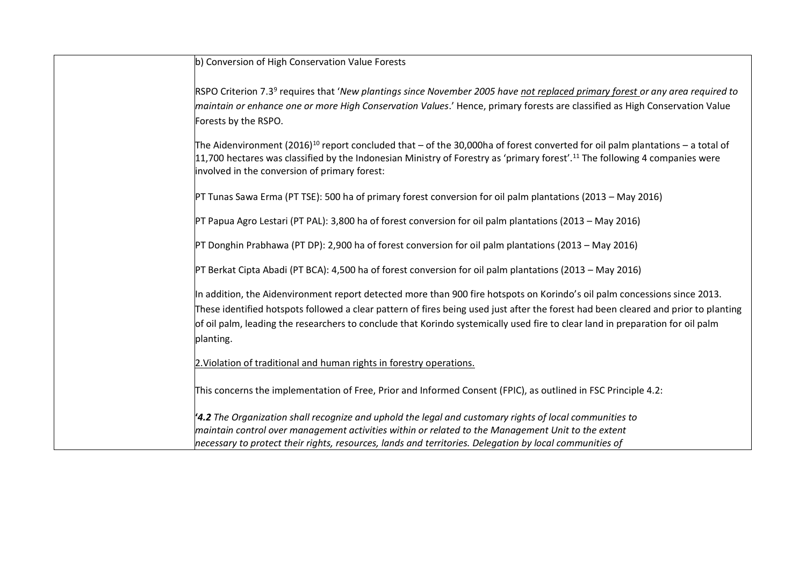| b) Conversion of High Conservation Value Forests                                                                                                                                         |
|------------------------------------------------------------------------------------------------------------------------------------------------------------------------------------------|
|                                                                                                                                                                                          |
| RSPO Criterion 7.3 <sup>9</sup> requires that 'New plantings since November 2005 have not replaced primary forest or any area required to                                                |
| maintain or enhance one or more High Conservation Values.' Hence, primary forests are classified as High Conservation Value                                                              |
| Forests by the RSPO.                                                                                                                                                                     |
|                                                                                                                                                                                          |
| The Aidenvironment (2016) <sup>10</sup> report concluded that – of the 30,000ha of forest converted for oil palm plantations – a total of                                                |
| 11,700 hectares was classified by the Indonesian Ministry of Forestry as 'primary forest'. <sup>11</sup> The following 4 companies were<br>involved in the conversion of primary forest: |
|                                                                                                                                                                                          |
| PT Tunas Sawa Erma (PT TSE): 500 ha of primary forest conversion for oil palm plantations (2013 - May 2016)                                                                              |
|                                                                                                                                                                                          |
| PT Papua Agro Lestari (PT PAL): 3,800 ha of forest conversion for oil palm plantations (2013 – May 2016)                                                                                 |
|                                                                                                                                                                                          |
| PT Donghin Prabhawa (PT DP): 2,900 ha of forest conversion for oil palm plantations (2013 - May 2016)                                                                                    |
| PT Berkat Cipta Abadi (PT BCA): 4,500 ha of forest conversion for oil palm plantations (2013 - May 2016)                                                                                 |
|                                                                                                                                                                                          |
| In addition, the Aidenvironment report detected more than 900 fire hotspots on Korindo's oil palm concessions since 2013.                                                                |
| These identified hotspots followed a clear pattern of fires being used just after the forest had been cleared and prior to planting                                                      |
| of oil palm, leading the researchers to conclude that Korindo systemically used fire to clear land in preparation for oil palm                                                           |
| planting.                                                                                                                                                                                |
|                                                                                                                                                                                          |
| 2. Violation of traditional and human rights in forestry operations.                                                                                                                     |
|                                                                                                                                                                                          |
| This concerns the implementation of Free, Prior and Informed Consent (FPIC), as outlined in FSC Principle 4.2:                                                                           |
| $4.2$ The Organization shall recognize and uphold the legal and customary rights of local communities to                                                                                 |
| maintain control over management activities within or related to the Management Unit to the extent                                                                                       |
| necessary to protect their rights, resources, lands and territories. Delegation by local communities of                                                                                  |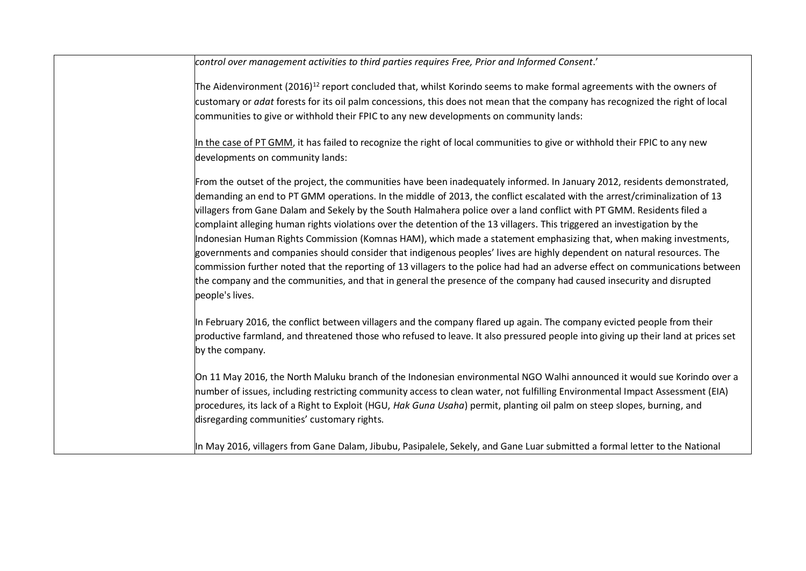*control over management activities to third parties requires Free, Prior and Informed Consent*.'

The Aidenvironment (2016)<sup>12</sup> report concluded that, whilst Korindo seems to make formal agreements with the owners of customary or *adat* forests for its oil palm concessions, this does not mean that the company has recognized the right of local communities to give or withhold their FPIC to any new developments on community lands:

In the case of PT GMM, it has failed to recognize the right of local communities to give or withhold their FPIC to any new developments on community lands:

From the outset of the project, the communities have been inadequately informed. In January 2012, residents demonstrated, demanding an end to PT GMM operations. In the middle of 2013, the conflict escalated with the arrest/criminalization of 13 villagers from Gane Dalam and Sekely by the South Halmahera police over a land conflict with PT GMM. Residents filed a complaint alleging human rights violations over the detention of the 13 villagers. This triggered an investigation by the Indonesian Human Rights Commission (Komnas HAM), which made a statement emphasizing that, when making investments, governments and companies should consider that indigenous peoples' lives are highly dependent on natural resources. The commission further noted that the reporting of 13 villagers to the police had had an adverse effect on communications between the company and the communities, and that in general the presence of the company had caused insecurity and disrupted people's lives.

In February 2016, the conflict between villagers and the company flared up again. The company evicted people from their productive farmland, and threatened those who refused to leave. It also pressured people into giving up their land at prices set by the company.

On 11 May 2016, the North Maluku branch of the Indonesian environmental NGO Walhi announced it would sue Korindo over a number of issues, including restricting community access to clean water, not fulfilling Environmental Impact Assessment (EIA) procedures, its lack of a Right to Exploit (HGU, *Hak Guna Usaha*) permit, planting oil palm on steep slopes, burning, and disregarding communities' customary rights.

In May 2016, villagers from Gane Dalam, Jibubu, Pasipalele, Sekely, and Gane Luar submitted a formal letter to the National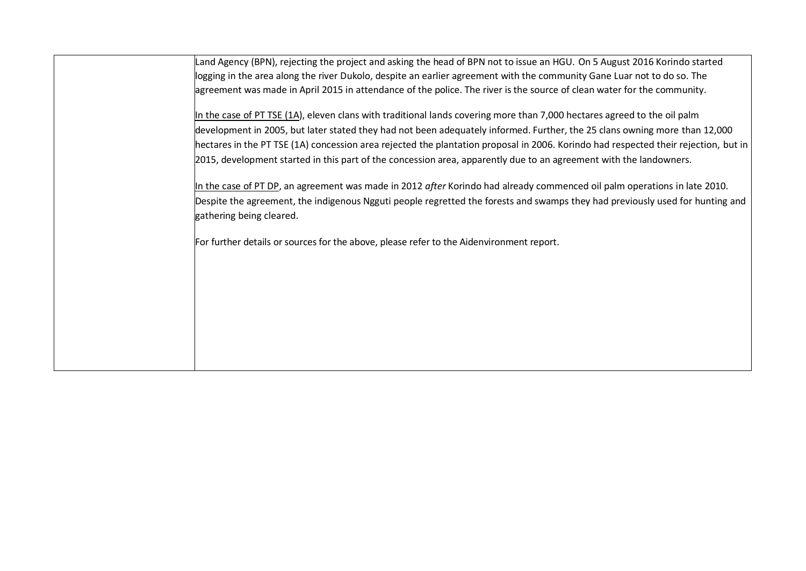Land Agency (BPN), rejecting the project and asking the head of BPN not to issue an HGU. On 5 August 2016 Korindo started logging in the area along the river Dukolo, despite an earlier agreement with the community Gane Luar not to do so. The agreement was made in April 2015 in attendance of the police. The river is the source of clean water for the community.

In the case of PT TSE (1A), eleven clans with traditional lands covering more than 7,000 hectares agreed to the oil palm development in 2005, but later stated they had not been adequately informed. Further, the 25 clans owning more than 12,000 hectares in the PT TSE (1A) concession area rejected the plantation proposal in 2006. Korindo had respected their rejection, but in 2015, development started in this part of the concession area, apparently due to an agreement with the landowners.

In the case of PT DP, an agreement was made in 2012 *after* Korindo had already commenced oil palm operations in late 2010. Despite the agreement, the indigenous Ngguti people regretted the forests and swamps they had previously used for hunting and gathering being cleared.

For further details or sources for the above, please refer to the Aidenvironment report.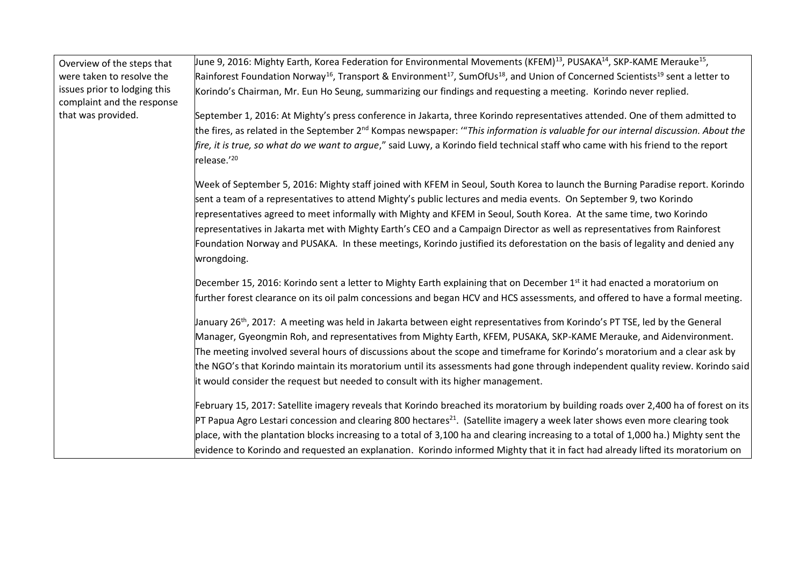| Overview of the steps that                                 | June 9, 2016: Mighty Earth, Korea Federation for Environmental Movements (KFEM) <sup>13</sup> , PUSAKA <sup>14</sup> , SKP-KAME Merauke <sup>15</sup> ,                                                                                            |
|------------------------------------------------------------|----------------------------------------------------------------------------------------------------------------------------------------------------------------------------------------------------------------------------------------------------|
| were taken to resolve the                                  | Rainforest Foundation Norway <sup>16</sup> , Transport & Environment <sup>17</sup> , SumOfUs <sup>18</sup> , and Union of Concerned Scientists <sup>19</sup> sent a letter to                                                                      |
| issues prior to lodging this<br>complaint and the response | Korindo's Chairman, Mr. Eun Ho Seung, summarizing our findings and requesting a meeting. Korindo never replied.                                                                                                                                    |
| that was provided.                                         | September 1, 2016: At Mighty's press conference in Jakarta, three Korindo representatives attended. One of them admitted to                                                                                                                        |
|                                                            | the fires, as related in the September 2 <sup>nd</sup> Kompas newspaper: "This information is valuable for our internal discussion. About the                                                                                                      |
|                                                            | fire, it is true, so what do we want to argue," said Luwy, a Korindo field technical staff who came with his friend to the report<br>release.'20                                                                                                   |
|                                                            | Week of September 5, 2016: Mighty staff joined with KFEM in Seoul, South Korea to launch the Burning Paradise report. Korindo<br>sent a team of a representatives to attend Mighty's public lectures and media events. On September 9, two Korindo |
|                                                            | representatives agreed to meet informally with Mighty and KFEM in Seoul, South Korea. At the same time, two Korindo                                                                                                                                |
|                                                            | representatives in Jakarta met with Mighty Earth's CEO and a Campaign Director as well as representatives from Rainforest                                                                                                                          |
|                                                            | Foundation Norway and PUSAKA. In these meetings, Korindo justified its deforestation on the basis of legality and denied any<br>wrongdoing.                                                                                                        |
|                                                            | December 15, 2016: Korindo sent a letter to Mighty Earth explaining that on December 1 <sup>st</sup> it had enacted a moratorium on                                                                                                                |
|                                                            | further forest clearance on its oil palm concessions and began HCV and HCS assessments, and offered to have a formal meeting.                                                                                                                      |
|                                                            | January 26 <sup>th</sup> , 2017: A meeting was held in Jakarta between eight representatives from Korindo's PT TSE, led by the General                                                                                                             |
|                                                            | Manager, Gyeongmin Roh, and representatives from Mighty Earth, KFEM, PUSAKA, SKP-KAME Merauke, and Aidenvironment.                                                                                                                                 |
|                                                            | The meeting involved several hours of discussions about the scope and timeframe for Korindo's moratorium and a clear ask by                                                                                                                        |
|                                                            | the NGO's that Korindo maintain its moratorium until its assessments had gone through independent quality review. Korindo said                                                                                                                     |
|                                                            | it would consider the request but needed to consult with its higher management.                                                                                                                                                                    |
|                                                            | February 15, 2017: Satellite imagery reveals that Korindo breached its moratorium by building roads over 2,400 ha of forest on its                                                                                                                 |
|                                                            | $PT$ Papua Agro Lestari concession and clearing 800 hectares <sup>21</sup> . (Satellite imagery a week later shows even more clearing took                                                                                                         |
|                                                            | place, with the plantation blocks increasing to a total of 3,100 ha and clearing increasing to a total of 1,000 ha.) Mighty sent the                                                                                                               |
|                                                            | evidence to Korindo and requested an explanation. Korindo informed Mighty that it in fact had already lifted its moratorium on                                                                                                                     |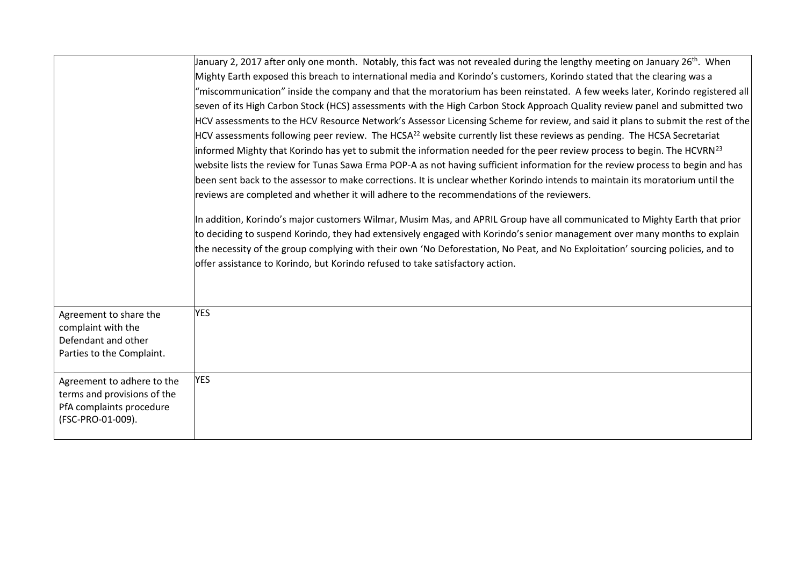|                             | January 2, 2017 after only one month. Notably, this fact was not revealed during the lengthy meeting on January 26 <sup>th</sup> . When |
|-----------------------------|-----------------------------------------------------------------------------------------------------------------------------------------|
|                             | Mighty Earth exposed this breach to international media and Korindo's customers, Korindo stated that the clearing was a                 |
|                             | "miscommunication" inside the company and that the moratorium has been reinstated. A few weeks later, Korindo registered all            |
|                             | seven of its High Carbon Stock (HCS) assessments with the High Carbon Stock Approach Quality review panel and submitted two             |
|                             | HCV assessments to the HCV Resource Network's Assessor Licensing Scheme for review, and said it plans to submit the rest of the         |
|                             | HCV assessments following peer review. The HCSA <sup>22</sup> website currently list these reviews as pending. The HCSA Secretariat     |
|                             | informed Mighty that Korindo has yet to submit the information needed for the peer review process to begin. The HCVRN <sup>23</sup>     |
|                             | website lists the review for Tunas Sawa Erma POP-A as not having sufficient information for the review process to begin and has         |
|                             | been sent back to the assessor to make corrections. It is unclear whether Korindo intends to maintain its moratorium until the          |
|                             | reviews are completed and whether it will adhere to the recommendations of the reviewers.                                               |
|                             |                                                                                                                                         |
|                             | In addition, Korindo's major customers Wilmar, Musim Mas, and APRIL Group have all communicated to Mighty Earth that prior              |
|                             | to deciding to suspend Korindo, they had extensively engaged with Korindo's senior management over many months to explain               |
|                             | the necessity of the group complying with their own 'No Deforestation, No Peat, and No Exploitation' sourcing policies, and to          |
|                             | offer assistance to Korindo, but Korindo refused to take satisfactory action.                                                           |
|                             |                                                                                                                                         |
|                             |                                                                                                                                         |
| Agreement to share the      | <b>YES</b>                                                                                                                              |
| complaint with the          |                                                                                                                                         |
| Defendant and other         |                                                                                                                                         |
| Parties to the Complaint.   |                                                                                                                                         |
| Agreement to adhere to the  | <b>YES</b>                                                                                                                              |
| terms and provisions of the |                                                                                                                                         |
| PfA complaints procedure    |                                                                                                                                         |
| (FSC-PRO-01-009).           |                                                                                                                                         |
|                             |                                                                                                                                         |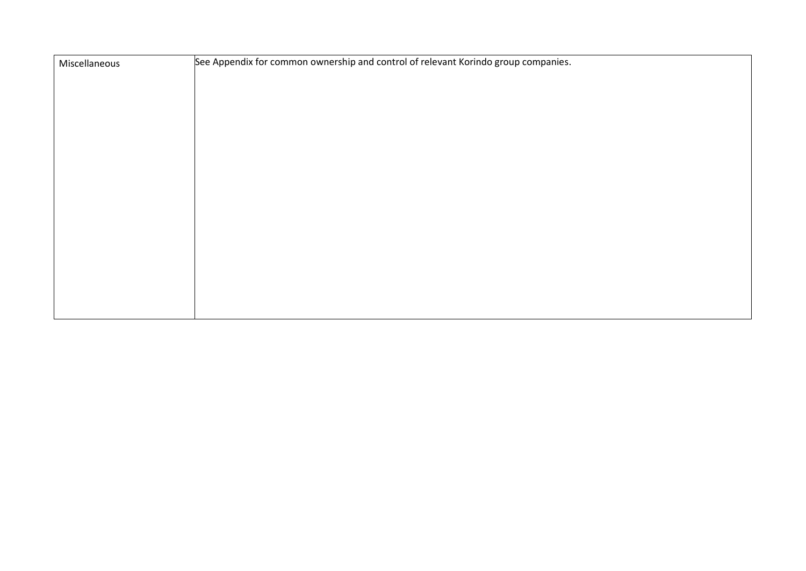| Miscellaneous | See Appendix for common ownership and control of relevant Korindo group companies. |
|---------------|------------------------------------------------------------------------------------|
|               |                                                                                    |
|               |                                                                                    |
|               |                                                                                    |
|               |                                                                                    |
|               |                                                                                    |
|               |                                                                                    |
|               |                                                                                    |
|               |                                                                                    |
|               |                                                                                    |
|               |                                                                                    |
|               |                                                                                    |
|               |                                                                                    |
|               |                                                                                    |
|               |                                                                                    |
|               |                                                                                    |
|               |                                                                                    |
|               |                                                                                    |
|               |                                                                                    |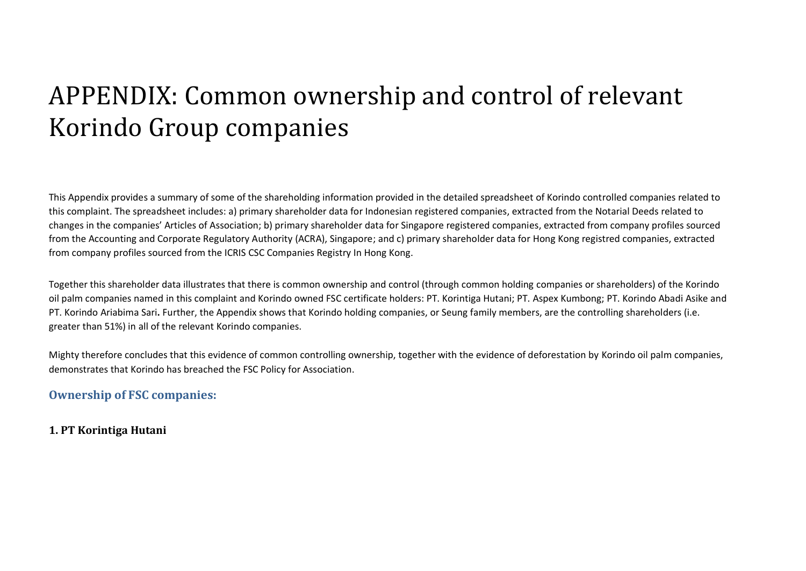# APPENDIX: Common ownership and control of relevant Korindo Group companies

This Appendix provides a summary of some of the shareholding information provided in the detailed spreadsheet of Korindo controlled companies related to this complaint. The spreadsheet includes: a) primary shareholder data for Indonesian registered companies, extracted from the Notarial Deeds related to changes in the companies' Articles of Association; b) primary shareholder data for Singapore registered companies, extracted from company profiles sourced from the Accounting and Corporate Regulatory Authority (ACRA), Singapore; and c) primary shareholder data for Hong Kong registred companies, extracted from company profiles sourced from the ICRIS CSC Companies Registry In Hong Kong.

Together this shareholder data illustrates that there is common ownership and control (through common holding companies or shareholders) of the Korindo oil palm companies named in this complaint and Korindo owned FSC certificate holders: PT. Korintiga Hutani; PT. Aspex Kumbong; PT. Korindo Abadi Asike and PT. Korindo Ariabima Sari**.** Further, the Appendix shows that Korindo holding companies, or Seung family members, are the controlling shareholders (i.e. greater than 51%) in all of the relevant Korindo companies.

Mighty therefore concludes that this evidence of common controlling ownership, together with the evidence of deforestation by Korindo oil palm companies, demonstrates that Korindo has breached the FSC Policy for Association.

## **Ownership of FSC companies:**

## <span id="page-12-0"></span>**1. PT Korintiga Hutani**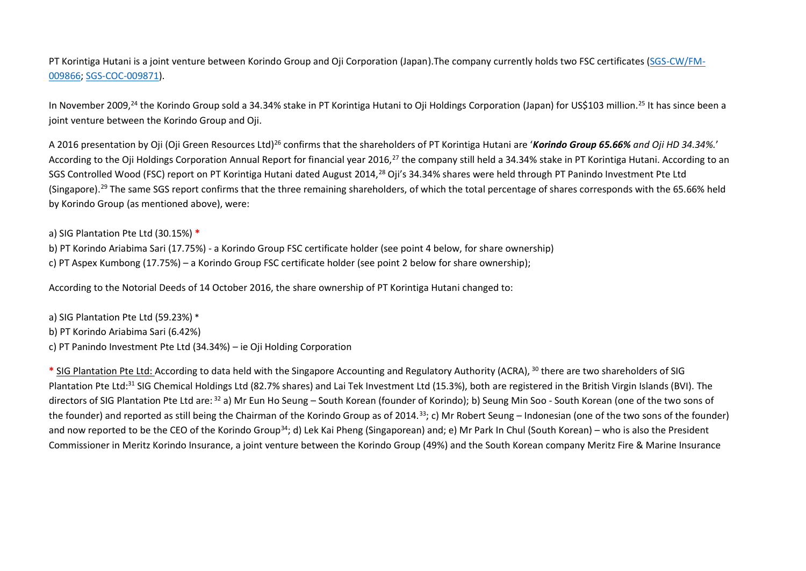PT Korintiga Hutani is a joint venture between Korindo Group and Oji Corporation (Japan).The company currently holds two FSC certificates [\(SGS-CW/FM-](http://info.fsc.org/details.php?id=a024000000F7JZfAAN&type=certificate&return=certificate.php)[009866;](http://info.fsc.org/details.php?id=a024000000F7JZfAAN&type=certificate&return=certificate.php) [SGS-COC-009871\)](http://info.fsc.org/details.php?id=a024000000F9rngAAB&type=certificate&return=certificate.php).

In November 2009,<sup>24</sup> the Korindo Group sold a 34.34% stake in PT Korintiga Hutani to Oji Holdings Corporation (Japan) for US\$103 million.<sup>25</sup> It has since been a joint venture between the Korindo Group and Oji.

A 2016 presentation by Oji (Oji Green Resources Ltd)<sup>26</sup> confirms that the shareholders of PT Korintiga Hutani are '*Korindo Group 65.66% and Oji HD 34.34%.*' According to the Oji Holdings Corporation Annual Report for financial year 2016,<sup>27</sup> the company still held a 34.34% stake in PT Korintiga Hutani. According to an SGS Controlled Wood (FSC) report on PT Korintiga Hutani dated August 2014,<sup>28</sup> Oji's 34.34% shares were held through PT Panindo Investment Pte Ltd (Singapore).<sup>29</sup> The same SGS report confirms that the three remaining shareholders, of which the total percentage of shares corresponds with the 65.66% held by Korindo Group (as mentioned above), were:

a) SIG Plantation Pte Ltd (30.15%) **\***

b) PT Korindo Ariabima Sari (17.75%) - a Korindo Group FSC certificate holder (see point 4 below, for share ownership) c) PT Aspex Kumbong (17.75%) – a Korindo Group FSC certificate holder (see point 2 below for share ownership);

According to the Notorial Deeds of 14 October 2016, the share ownership of PT Korintiga Hutani changed to:

a) SIG Plantation Pte Ltd (59.23%) \* b) PT Korindo Ariabima Sari (6.42%) c) PT Panindo Investment Pte Ltd (34.34%) – ie Oji Holding Corporation

**\*** SIG Plantation Pte Ltd: According to data held with the Singapore Accounting and Regulatory Authority (ACRA), <sup>30</sup> there are two shareholders of SIG Plantation Pte Ltd:<sup>31</sup> SIG Chemical Holdings Ltd (82.7% shares) and Lai Tek Investment Ltd (15.3%), both are registered in the British Virgin Islands (BVI). The directors of SIG Plantation Pte Ltd are: <sup>32</sup> a) Mr Eun Ho Seung – South Korean (founder of Korindo); b) Seung Min Soo - South Korean (one of the two sons of the founder) and reported as still being the Chairman of the Korindo Group as of 2014.<sup>33</sup>; c) Mr Robert Seung – Indonesian (one of the two sons of the founder) and now reported to be the CEO of the Korindo Group<sup>34</sup>; d) Lek Kai Pheng (Singaporean) and; e) Mr Park In Chul (South Korean) – who is also the President Commissioner in Meritz Korindo Insurance, a joint venture between the Korindo Group (49%) and the South Korean company Meritz Fire & Marine Insurance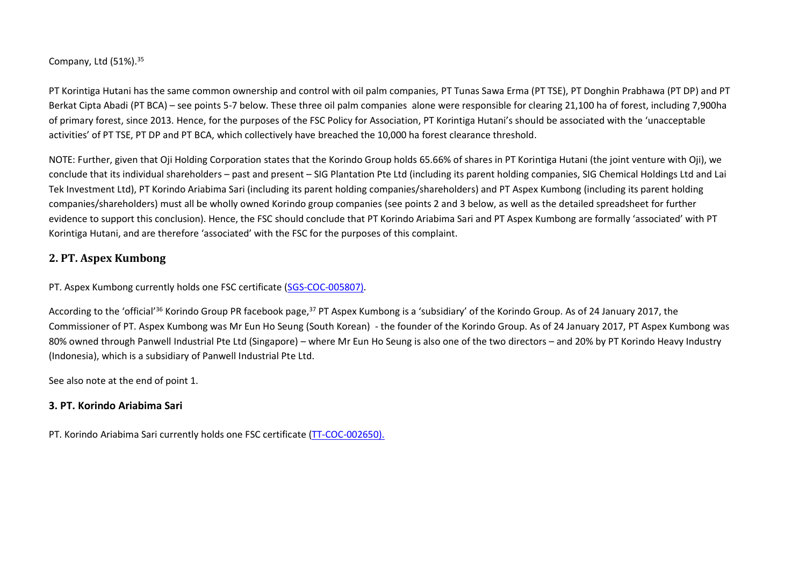Company, Ltd  $(51\%)$ .  $35$ 

PT Korintiga Hutani has the same common ownership and control with oil palm companies, PT Tunas Sawa Erma (PT TSE), PT Donghin Prabhawa (PT DP) and PT Berkat Cipta Abadi (PT BCA) – see points 5-7 below. These three oil palm companies alone were responsible for clearing 21,100 ha of forest, including 7,900ha of primary forest, since 2013. Hence, for the purposes of the FSC Policy for Association, PT Korintiga Hutani's should be associated with the 'unacceptable activities' of PT TSE, PT DP and PT BCA, which collectively have breached the 10,000 ha forest clearance threshold.

NOTE: Further, given that Oji Holding Corporation states that the Korindo Group holds 65.66% of shares in PT Korintiga Hutani (the joint venture with Oji), we conclude that its individual shareholders – past and present – SIG Plantation Pte Ltd (including its parent holding companies, SIG Chemical Holdings Ltd and Lai Tek Investment Ltd), PT Korindo Ariabima Sari (including its parent holding companies/shareholders) and PT Aspex Kumbong (including its parent holding companies/shareholders) must all be wholly owned Korindo group companies (see points 2 and 3 below, as well as the detailed spreadsheet for further evidence to support this conclusion). Hence, the FSC should conclude that PT Korindo Ariabima Sari and PT Aspex Kumbong are formally 'associated' with PT Korintiga Hutani, and are therefore 'associated' with the FSC for the purposes of this complaint.

#### **2. PT. Aspex Kumbong**

PT. Aspex Kumbong currently holds one FSC certificate [\(SGS-COC-005807\)](http://info.fsc.org/details.php?id=a0240000005sVWEAA2&type=certificate&return=certificate.php).

According to the 'official'<sup>36</sup> Korindo Group PR facebook page,<sup>37</sup> PT Aspex Kumbong is a 'subsidiary' of the Korindo Group. As of 24 January 2017, the Commissioner of PT. Aspex Kumbong was Mr Eun Ho Seung (South Korean) - the founder of the Korindo Group. As of 24 January 2017, PT Aspex Kumbong was 80% owned through Panwell Industrial Pte Ltd (Singapore) – where Mr Eun Ho Seung is also one of the two directors – and 20% by PT Korindo Heavy Industry (Indonesia), which is a subsidiary of Panwell Industrial Pte Ltd.

See also [note](#page-12-0) at the end of point 1.

#### **3. PT. Korindo Ariabima Sari**

PT. Korindo Ariabima Sari currently holds one FSC certificate [\(TT-COC-002650\)](http://info.fsc.org/details.php?id=a0240000005sRSnAAM&type=certificate&return=certificate.php).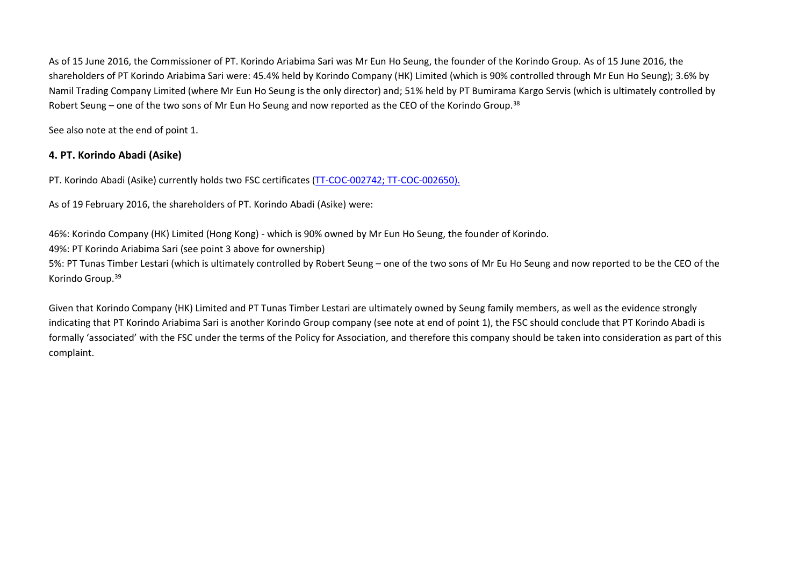As of 15 June 2016, the Commissioner of PT. Korindo Ariabima Sari was Mr Eun Ho Seung, the founder of the Korindo Group. As of 15 June 2016, the shareholders of PT Korindo Ariabima Sari were: 45.4% held by Korindo Company (HK) Limited (which is 90% controlled through Mr Eun Ho Seung); 3.6% by Namil Trading Company Limited (where Mr Eun Ho Seung is the only director) and; 51% held by PT Bumirama Kargo Servis (which is ultimately controlled by Robert Seung – one of the two sons of Mr Eun Ho Seung and now reported as the CEO of the Korindo Group.<sup>38</sup>

See also note at the end of point 1.

#### **4. PT. Korindo Abadi (Asike)**

PT. Korindo Abadi (Asike) currently holds two FSC certificates [\(TT-COC-002742;](http://info.fsc.org/details.php?id=a0240000005sVfbAAE&type=certificate&return=certificate.php) [TT-COC-002650\)](http://info.fsc.org/details.php?id=a0240000005sRSnAAM&type=certificate&return=certificate.php).

As of 19 February 2016, the shareholders of PT. Korindo Abadi (Asike) were:

46%: Korindo Company (HK) Limited (Hong Kong) - which is 90% owned by Mr Eun Ho Seung, the founder of Korindo.

49%: PT Korindo Ariabima Sari (see point 3 above for ownership)

5%: PT Tunas Timber Lestari (which is ultimately controlled by Robert Seung – one of the two sons of Mr Eu Ho Seung and now reported to be the CEO of the Korindo Group.<sup>39</sup>

Given that Korindo Company (HK) Limited and PT Tunas Timber Lestari are ultimately owned by Seung family members, as well as the evidence strongly indicating that PT Korindo Ariabima Sari is another Korindo Group company (see note at end of point 1), the FSC should conclude that PT Korindo Abadi is formally 'associated' with the FSC under the terms of the Policy for Association, and therefore this company should be taken into consideration as part of this complaint.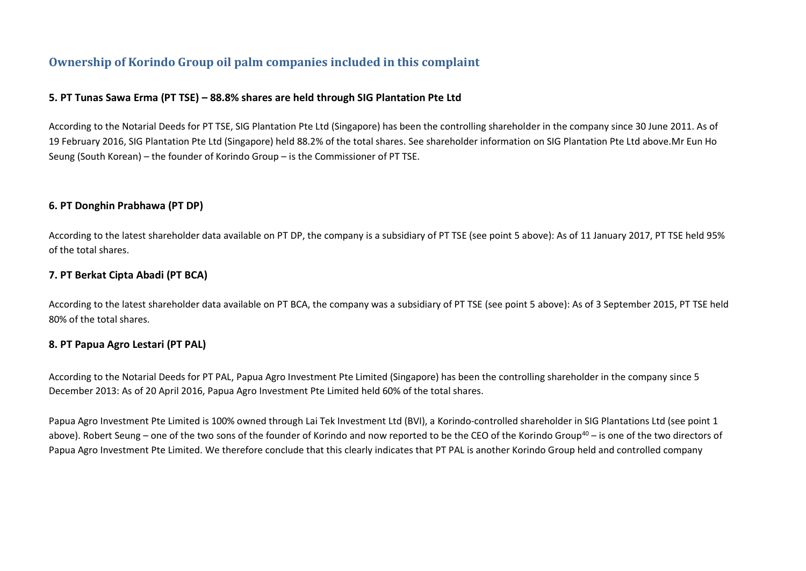# **Ownership of Korindo Group oil palm companies included in this complaint**

#### **5. PT Tunas Sawa Erma (PT TSE) – 88.8% shares are held through SIG Plantation Pte Ltd**

According to the Notarial Deeds for PT TSE, SIG Plantation Pte Ltd (Singapore) has been the controlling shareholder in the company since 30 June 2011. As of 19 February 2016, SIG Plantation Pte Ltd (Singapore) held 88.2% of the total shares. See shareholder information on SIG Plantation Pte Ltd above.Mr Eun Ho Seung (South Korean) – the founder of Korindo Group – is the Commissioner of PT TSE.

#### **6. PT Donghin Prabhawa (PT DP)**

According to the latest shareholder data available on PT DP, the company is a subsidiary of PT TSE (see point 5 above): As of 11 January 2017, PT TSE held 95% of the total shares.

#### **7. PT Berkat Cipta Abadi (PT BCA)**

According to the latest shareholder data available on PT BCA, the company was a subsidiary of PT TSE (see point 5 above): As of 3 September 2015, PT TSE held 80% of the total shares.

#### **8. PT Papua Agro Lestari (PT PAL)**

According to the Notarial Deeds for PT PAL, Papua Agro Investment Pte Limited (Singapore) has been the controlling shareholder in the company since 5 December 2013: As of 20 April 2016, Papua Agro Investment Pte Limited held 60% of the total shares.

Papua Agro Investment Pte Limited is 100% owned through Lai Tek Investment Ltd (BVI), a Korindo-controlled shareholder in SIG Plantations Ltd (see point 1 above). Robert Seung – one of the two sons of the founder of Korindo and now reported to be the CEO of the Korindo Group<sup>40</sup> – is one of the two directors of Papua Agro Investment Pte Limited. We therefore conclude that this clearly indicates that PT PAL is another Korindo Group held and controlled company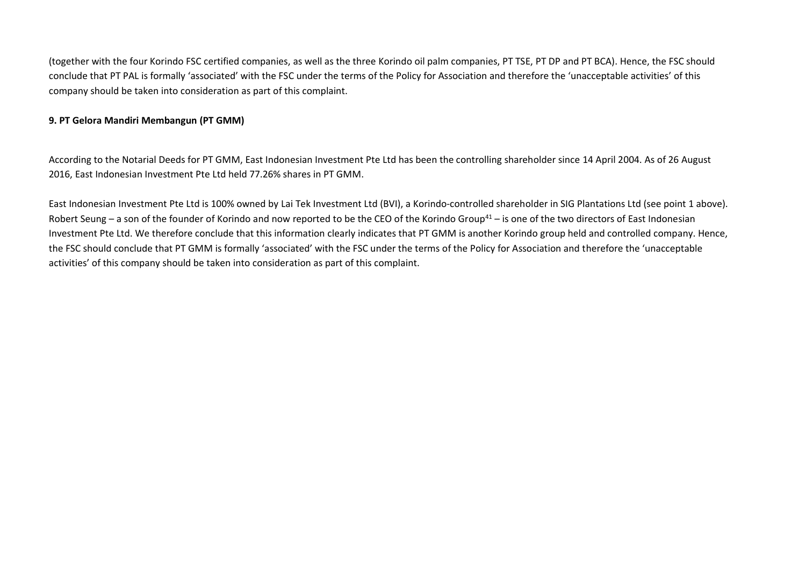(together with the four Korindo FSC certified companies, as well as the three Korindo oil palm companies, PT TSE, PT DP and PT BCA). Hence, the FSC should conclude that PT PAL is formally 'associated' with the FSC under the terms of the Policy for Association and therefore the 'unacceptable activities' of this company should be taken into consideration as part of this complaint.

#### **9. PT Gelora Mandiri Membangun (PT GMM)**

According to the Notarial Deeds for PT GMM, East Indonesian Investment Pte Ltd has been the controlling shareholder since 14 April 2004. As of 26 August 2016, East Indonesian Investment Pte Ltd held 77.26% shares in PT GMM.

East Indonesian Investment Pte Ltd is 100% owned by Lai Tek Investment Ltd (BVI), a Korindo-controlled shareholder in SIG Plantations Ltd (see point 1 above). Robert Seung – a son of the founder of Korindo and now reported to be the CEO of the Korindo Group<sup>41</sup> – is one of the two directors of East Indonesian Investment Pte Ltd. We therefore conclude that this information clearly indicates that PT GMM is another Korindo group held and controlled company. Hence, the FSC should conclude that PT GMM is formally 'associated' with the FSC under the terms of the Policy for Association and therefore the 'unacceptable activities' of this company should be taken into consideration as part of this complaint.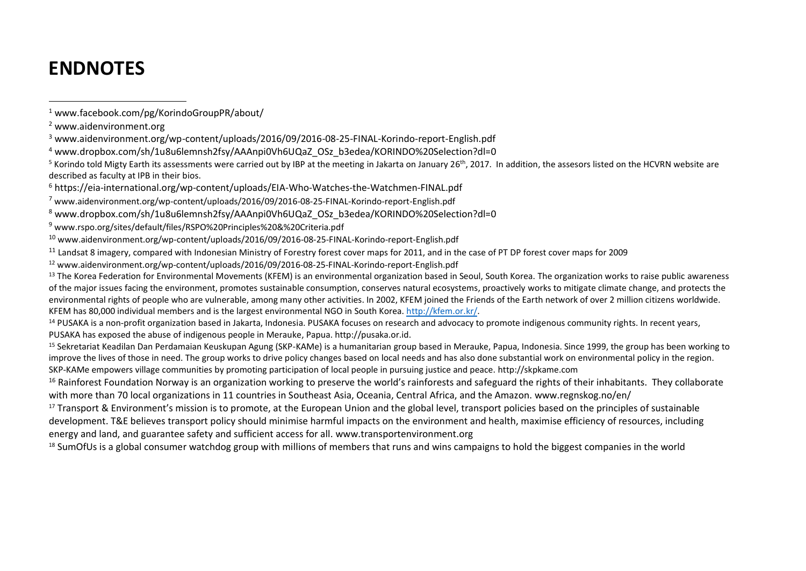# **ENDNOTES**

l

<sup>12</sup> www.aidenvironment.org/wp-content/uploads/2016/09/2016-08-25-FINAL-Korindo-report-English.pdf

<sup>13</sup> The Korea Federation for Environmental Movements (KFEM) is an environmental organization based in Seoul, South Korea. The organization works to raise public awareness of the major issues facing the environment, promotes sustainable consumption, conserves natural ecosystems, proactively works to mitigate climate change, and protects the environmental rights of people who are vulnerable, among many other activities. In 2002, KFEM joined the Friends of the Earth network of over 2 million citizens worldwide. KFEM has 80,000 individual members and is the largest environmental NGO in South Korea. [http://kfem.or.kr/.](http://kfem.or.kr/)

<sup>14</sup> PUSAKA is a non-profit organization based in Jakarta, Indonesia. PUSAKA focuses on research and advocacy to promote indigenous community rights. In recent years, PUSAKA has exposed the abuse of indigenous people in Merauke, Papua. http://pusaka.or.id.

<sup>15</sup> Sekretariat Keadilan Dan Perdamaian Keuskupan Agung (SKP-KAMe) is a humanitarian group based in Merauke, Papua, Indonesia. Since 1999, the group has been working to improve the lives of those in need. The group works to drive policy changes based on local needs and has also done substantial work on environmental policy in the region. SKP-KAMe empowers village communities by promoting participation of local people in pursuing justice and peace. http://skpkame.com

<sup>16</sup> Rainforest Foundation Norway is an organization working to preserve the world's rainforests and safeguard the rights of their inhabitants. They collaborate with more than 70 local organizations in 11 countries in Southeast Asia, Oceania, Central Africa, and the Amazon. www.regnskog.no/en/

<sup>17</sup> Transport & Environment's mission is to promote, at the European Union and the global level, transport policies based on the principles of sustainable development. T&E believes transport policy should minimise harmful impacts on the environment and health, maximise efficiency of resources, including energy and land, and guarantee safety and sufficient access for all. www.transportenvironment.org

<sup>18</sup> SumOfUs is a global consumer watchdog group with millions of members that runs and wins campaigns to hold the biggest companies in the world

<sup>1</sup> www.facebook.com/pg/KorindoGroupPR/about/

<sup>2</sup> www.aidenvironment.org

<sup>3</sup> www.aidenvironment.org/wp-content/uploads/2016/09/2016-08-25-FINAL-Korindo-report-English.pdf

<sup>4</sup> www.dropbox.com/sh/1u8u6lemnsh2fsy/AAAnpi0Vh6UQaZ\_OSz\_b3edea/KORINDO%20Selection?dl=0

<sup>&</sup>lt;sup>5</sup> Korindo told Migty Earth its assessments were carried out by IBP at the meeting in Jakarta on January 26<sup>th</sup>, 2017. In addition, the assesors listed on the HCVRN website are described as faculty at IPB in their bios.

<sup>6</sup> https://eia-international.org/wp-content/uploads/EIA-Who-Watches-the-Watchmen-FINAL.pdf

<sup>7</sup> www.aidenvironment.org/wp-content/uploads/2016/09/2016-08-25-FINAL-Korindo-report-English.pdf

<sup>8</sup> www.dropbox.com/sh/1u8u6lemnsh2fsy/AAAnpi0Vh6UQaZ\_OSz\_b3edea/KORINDO%20Selection?dl=0

<sup>9</sup> www.rspo.org/sites/default/files/RSPO%20Principles%20&%20Criteria.pdf

<sup>10</sup> www.aidenvironment.org/wp-content/uploads/2016/09/2016-08-25-FINAL-Korindo-report-English.pdf

<sup>11</sup> Landsat 8 imagery, compared with Indonesian Ministry of Forestry forest cover maps for 2011, and in the case of PT DP forest cover maps for 2009